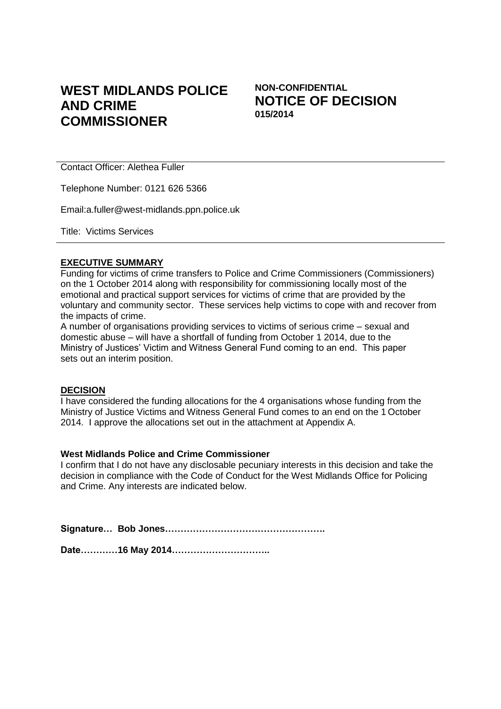# **WEST MIDLANDS POLICE AND CRIME COMMISSIONER**

**NON-CONFIDENTIAL NOTICE OF DECISION 015/2014**

Contact Officer: Alethea Fuller

Telephone Number: 0121 626 5366

Email:a.fuller@west-midlands.ppn.police.uk

Title: Victims Services

#### **EXECUTIVE SUMMARY**

Funding for victims of crime transfers to Police and Crime Commissioners (Commissioners) on the 1 October 2014 along with responsibility for commissioning locally most of the emotional and practical support services for victims of crime that are provided by the voluntary and community sector. These services help victims to cope with and recover from the impacts of crime.

A number of organisations providing services to victims of serious crime – sexual and domestic abuse – will have a shortfall of funding from October 1 2014, due to the Ministry of Justices' Victim and Witness General Fund coming to an end. This paper sets out an interim position.

#### **DECISION**

I have considered the funding allocations for the 4 organisations whose funding from the Ministry of Justice Victims and Witness General Fund comes to an end on the 1 October 2014. I approve the allocations set out in the attachment at Appendix A.

#### **West Midlands Police and Crime Commissioner**

I confirm that I do not have any disclosable pecuniary interests in this decision and take the decision in compliance with the Code of Conduct for the West Midlands Office for Policing and Crime. Any interests are indicated below.

**Signature… Bob Jones…………………………………………….**

**Date…………16 May 2014…………………………..**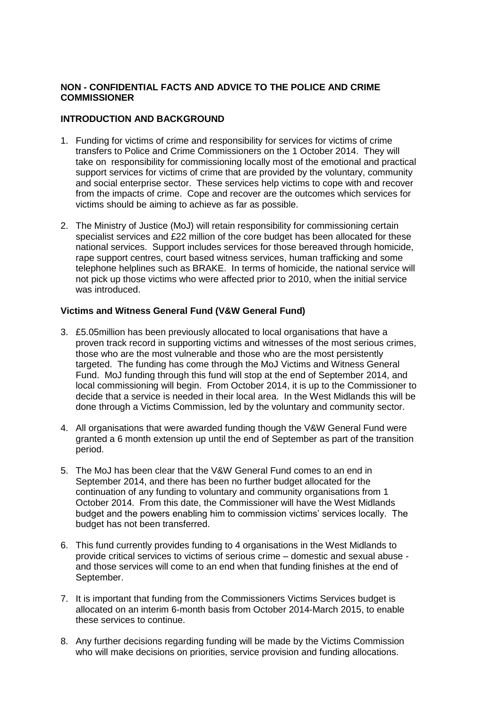## **NON - CONFIDENTIAL FACTS AND ADVICE TO THE POLICE AND CRIME COMMISSIONER**

### **INTRODUCTION AND BACKGROUND**

- 1. Funding for victims of crime and responsibility for services for victims of crime transfers to Police and Crime Commissioners on the 1 October 2014. They will take on responsibility for commissioning locally most of the emotional and practical support services for victims of crime that are provided by the voluntary, community and social enterprise sector. These services help victims to cope with and recover from the impacts of crime. Cope and recover are the outcomes which services for victims should be aiming to achieve as far as possible.
- 2. The Ministry of Justice (MoJ) will retain responsibility for commissioning certain specialist services and £22 million of the core budget has been allocated for these national services. Support includes services for those bereaved through homicide, rape support centres, court based witness services, human trafficking and some telephone helplines such as BRAKE. In terms of homicide, the national service will not pick up those victims who were affected prior to 2010, when the initial service was introduced.

## **Victims and Witness General Fund (V&W General Fund)**

- 3. £5.05million has been previously allocated to local organisations that have a proven track record in supporting victims and witnesses of the most serious crimes, those who are the most vulnerable and those who are the most persistently targeted. The funding has come through the MoJ Victims and Witness General Fund. MoJ funding through this fund will stop at the end of September 2014, and local commissioning will begin. From October 2014, it is up to the Commissioner to decide that a service is needed in their local area. In the West Midlands this will be done through a Victims Commission, led by the voluntary and community sector.
- 4. All organisations that were awarded funding though the V&W General Fund were granted a 6 month extension up until the end of September as part of the transition period.
- 5. The MoJ has been clear that the V&W General Fund comes to an end in September 2014, and there has been no further budget allocated for the continuation of any funding to voluntary and community organisations from 1 October 2014. From this date, the Commissioner will have the West Midlands budget and the powers enabling him to commission victims' services locally. The budget has not been transferred.
- 6. This fund currently provides funding to 4 organisations in the West Midlands to provide critical services to victims of serious crime – domestic and sexual abuse and those services will come to an end when that funding finishes at the end of September.
- 7. It is important that funding from the Commissioners Victims Services budget is allocated on an interim 6-month basis from October 2014-March 2015, to enable these services to continue.
- 8. Any further decisions regarding funding will be made by the Victims Commission who will make decisions on priorities, service provision and funding allocations.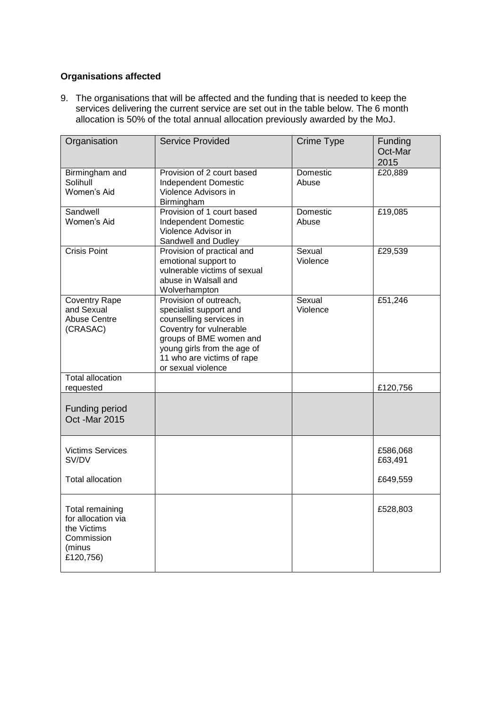## **Organisations affected**

9. The organisations that will be affected and the funding that is needed to keep the services delivering the current service are set out in the table below. The 6 month allocation is 50% of the total annual allocation previously awarded by the MoJ.

| Organisation                                                                              | <b>Service Provided</b>                                                                                                                                                                                              | Crime Type               | Funding<br>Oct-Mar<br>2015 |
|-------------------------------------------------------------------------------------------|----------------------------------------------------------------------------------------------------------------------------------------------------------------------------------------------------------------------|--------------------------|----------------------------|
| Birmingham and<br>Solihull<br>Women's Aid                                                 | Provision of 2 court based<br><b>Independent Domestic</b><br>Violence Advisors in<br>Birmingham                                                                                                                      | Domestic<br>Abuse        | £20,889                    |
| Sandwell<br>Women's Aid                                                                   | Provision of 1 court based<br><b>Independent Domestic</b><br>Violence Advisor in<br>Sandwell and Dudley                                                                                                              | <b>Domestic</b><br>Abuse | £19,085                    |
| Crisis Point                                                                              | Provision of practical and<br>emotional support to<br>vulnerable victims of sexual<br>abuse in Walsall and<br>Wolverhampton                                                                                          | Sexual<br>Violence       | £29,539                    |
| <b>Coventry Rape</b><br>and Sexual<br><b>Abuse Centre</b><br>(CRASAC)                     | Provision of outreach,<br>specialist support and<br>counselling services in<br>Coventry for vulnerable<br>groups of BME women and<br>young girls from the age of<br>11 who are victims of rape<br>or sexual violence | Sexual<br>Violence       | £51,246                    |
| <b>Total allocation</b><br>requested                                                      |                                                                                                                                                                                                                      |                          | £120,756                   |
| <b>Funding period</b><br><b>Oct -Mar 2015</b>                                             |                                                                                                                                                                                                                      |                          |                            |
| <b>Victims Services</b><br>SV/DV                                                          |                                                                                                                                                                                                                      |                          | £586,068<br>£63,491        |
| <b>Total allocation</b>                                                                   |                                                                                                                                                                                                                      |                          | £649,559                   |
| Total remaining<br>for allocation via<br>the Victims<br>Commission<br>(minus<br>£120,756) |                                                                                                                                                                                                                      |                          | £528,803                   |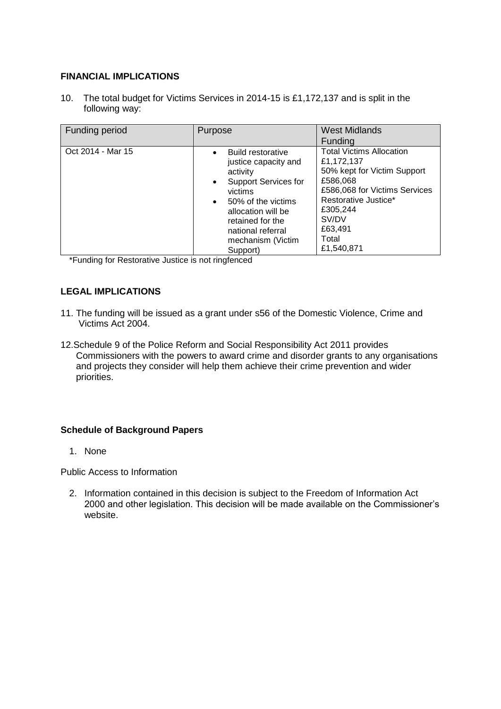### **FINANCIAL IMPLICATIONS**

10. The total budget for Victims Services in 2014-15 is £1,172,137 and is split in the following way:

| Funding period    | Purpose                                                                                                                                                                                                                                                             | <b>West Midlands</b><br>Funding                                                                                                                                                                          |
|-------------------|---------------------------------------------------------------------------------------------------------------------------------------------------------------------------------------------------------------------------------------------------------------------|----------------------------------------------------------------------------------------------------------------------------------------------------------------------------------------------------------|
| Oct 2014 - Mar 15 | <b>Build restorative</b><br>$\bullet$<br>justice capacity and<br>activity<br><b>Support Services for</b><br>$\bullet$<br>victims<br>50% of the victims<br>$\bullet$<br>allocation will be<br>retained for the<br>national referral<br>mechanism (Victim<br>Support) | <b>Total Victims Allocation</b><br>£1,172,137<br>50% kept for Victim Support<br>£586,068<br>£586,068 for Victims Services<br>Restorative Justice*<br>£305,244<br>SV/DV<br>£63,491<br>Total<br>£1,540,871 |

\*Funding for Restorative Justice is not ringfenced

## **LEGAL IMPLICATIONS**

- 11. The funding will be issued as a grant under s56 of the Domestic Violence, Crime and Victims Act 2004.
- 12.Schedule 9 of the Police Reform and Social Responsibility Act 2011 provides Commissioners with the powers to award crime and disorder grants to any organisations and projects they consider will help them achieve their crime prevention and wider priorities.

### **Schedule of Background Papers**

1. None

Public Access to Information

2. Information contained in this decision is subject to the Freedom of Information Act 2000 and other legislation. This decision will be made available on the Commissioner's website.